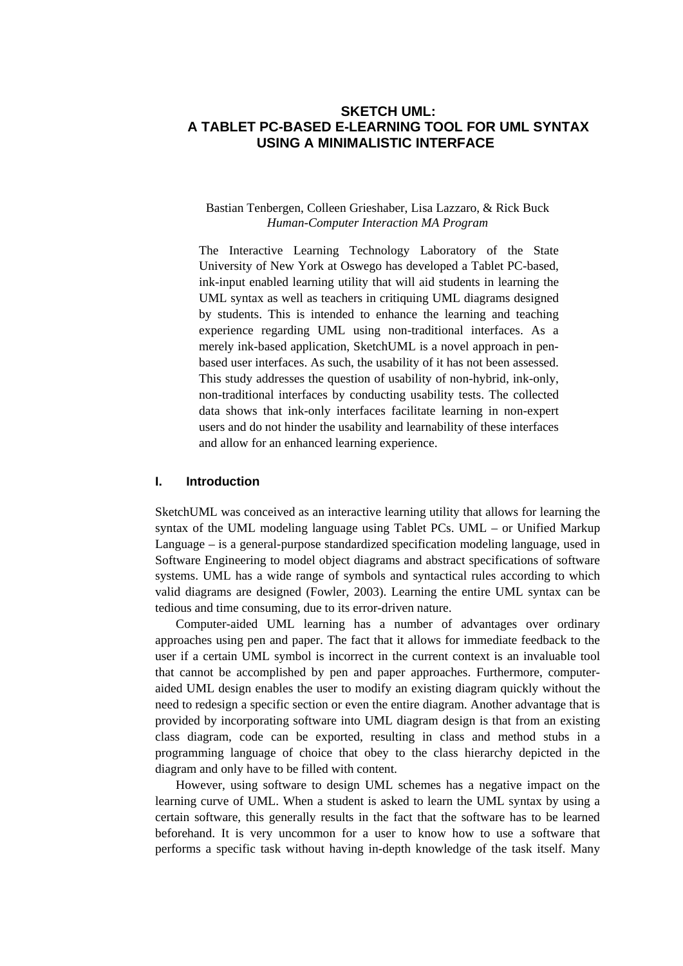# **SKETCH UML: A TABLET PC-BASED E-LEARNING TOOL FOR UML SYNTAX USING A MINIMALISTIC INTERFACE**

## Bastian Tenbergen, Colleen Grieshaber, Lisa Lazzaro, & Rick Buck *Human-Computer Interaction MA Program*

The Interactive Learning Technology Laboratory of the State University of New York at Oswego has developed a Tablet PC-based, ink-input enabled learning utility that will aid students in learning the UML syntax as well as teachers in critiquing UML diagrams designed by students. This is intended to enhance the learning and teaching experience regarding UML using non-traditional interfaces. As a merely ink-based application, SketchUML is a novel approach in penbased user interfaces. As such, the usability of it has not been assessed. This study addresses the question of usability of non-hybrid, ink-only, non-traditional interfaces by conducting usability tests. The collected data shows that ink-only interfaces facilitate learning in non-expert users and do not hinder the usability and learnability of these interfaces and allow for an enhanced learning experience.

### **I. Introduction**

SketchUML was conceived as an interactive learning utility that allows for learning the syntax of the UML modeling language using Tablet PCs. UML – or Unified Markup Language – is a general-purpose standardized specification modeling language, used in Software Engineering to model object diagrams and abstract specifications of software systems. UML has a wide range of symbols and syntactical rules according to which valid diagrams are designed (Fowler, 2003). Learning the entire UML syntax can be tedious and time consuming, due to its error-driven nature.

 Computer-aided UML learning has a number of advantages over ordinary approaches using pen and paper. The fact that it allows for immediate feedback to the user if a certain UML symbol is incorrect in the current context is an invaluable tool that cannot be accomplished by pen and paper approaches. Furthermore, computeraided UML design enables the user to modify an existing diagram quickly without the need to redesign a specific section or even the entire diagram. Another advantage that is provided by incorporating software into UML diagram design is that from an existing class diagram, code can be exported, resulting in class and method stubs in a programming language of choice that obey to the class hierarchy depicted in the diagram and only have to be filled with content.

 However, using software to design UML schemes has a negative impact on the learning curve of UML. When a student is asked to learn the UML syntax by using a certain software, this generally results in the fact that the software has to be learned beforehand. It is very uncommon for a user to know how to use a software that performs a specific task without having in-depth knowledge of the task itself. Many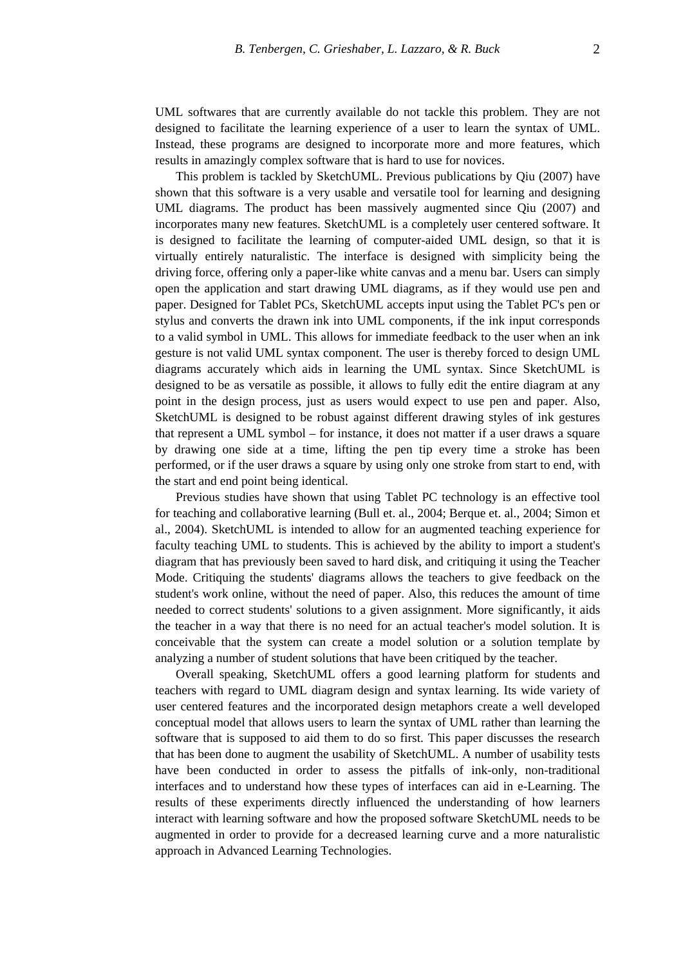UML softwares that are currently available do not tackle this problem. They are not designed to facilitate the learning experience of a user to learn the syntax of UML. Instead, these programs are designed to incorporate more and more features, which results in amazingly complex software that is hard to use for novices.

 This problem is tackled by SketchUML. Previous publications by Qiu (2007) have shown that this software is a very usable and versatile tool for learning and designing UML diagrams. The product has been massively augmented since Qiu (2007) and incorporates many new features. SketchUML is a completely user centered software. It is designed to facilitate the learning of computer-aided UML design, so that it is virtually entirely naturalistic. The interface is designed with simplicity being the driving force, offering only a paper-like white canvas and a menu bar. Users can simply open the application and start drawing UML diagrams, as if they would use pen and paper. Designed for Tablet PCs, SketchUML accepts input using the Tablet PC's pen or stylus and converts the drawn ink into UML components, if the ink input corresponds to a valid symbol in UML. This allows for immediate feedback to the user when an ink gesture is not valid UML syntax component. The user is thereby forced to design UML diagrams accurately which aids in learning the UML syntax. Since SketchUML is designed to be as versatile as possible, it allows to fully edit the entire diagram at any point in the design process, just as users would expect to use pen and paper. Also, SketchUML is designed to be robust against different drawing styles of ink gestures that represent a UML symbol – for instance, it does not matter if a user draws a square by drawing one side at a time, lifting the pen tip every time a stroke has been performed, or if the user draws a square by using only one stroke from start to end, with the start and end point being identical.

 Previous studies have shown that using Tablet PC technology is an effective tool for teaching and collaborative learning (Bull et. al., 2004; Berque et. al., 2004; Simon et al., 2004). SketchUML is intended to allow for an augmented teaching experience for faculty teaching UML to students. This is achieved by the ability to import a student's diagram that has previously been saved to hard disk, and critiquing it using the Teacher Mode. Critiquing the students' diagrams allows the teachers to give feedback on the student's work online, without the need of paper. Also, this reduces the amount of time needed to correct students' solutions to a given assignment. More significantly, it aids the teacher in a way that there is no need for an actual teacher's model solution. It is conceivable that the system can create a model solution or a solution template by analyzing a number of student solutions that have been critiqued by the teacher.

 Overall speaking, SketchUML offers a good learning platform for students and teachers with regard to UML diagram design and syntax learning. Its wide variety of user centered features and the incorporated design metaphors create a well developed conceptual model that allows users to learn the syntax of UML rather than learning the software that is supposed to aid them to do so first. This paper discusses the research that has been done to augment the usability of SketchUML. A number of usability tests have been conducted in order to assess the pitfalls of ink-only, non-traditional interfaces and to understand how these types of interfaces can aid in e-Learning. The results of these experiments directly influenced the understanding of how learners interact with learning software and how the proposed software SketchUML needs to be augmented in order to provide for a decreased learning curve and a more naturalistic approach in Advanced Learning Technologies.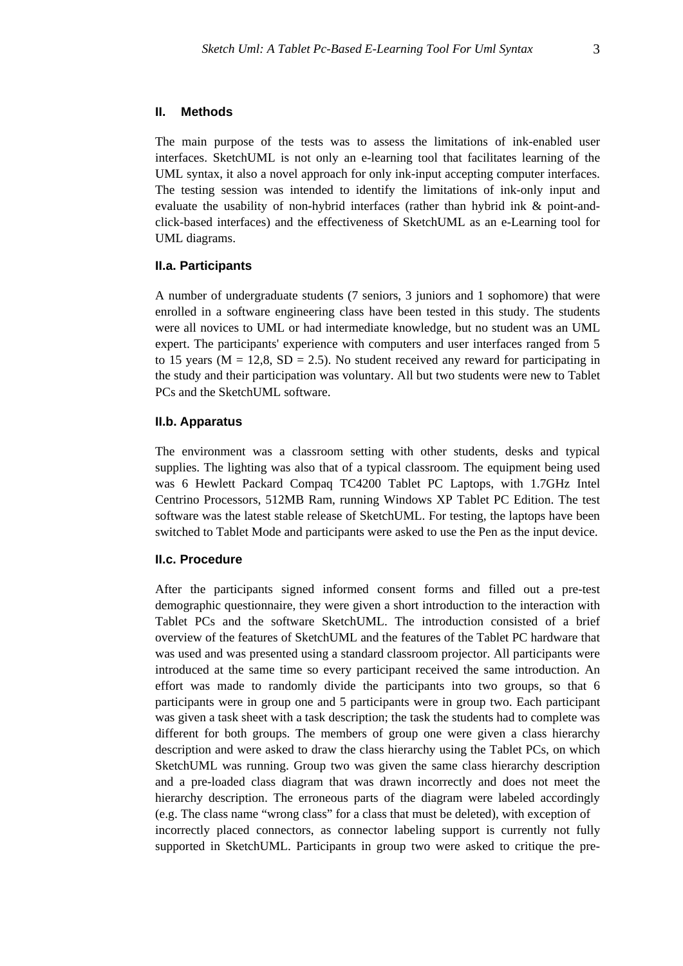#### **II. Methods**

The main purpose of the tests was to assess the limitations of ink-enabled user interfaces. SketchUML is not only an e-learning tool that facilitates learning of the UML syntax, it also a novel approach for only ink-input accepting computer interfaces. The testing session was intended to identify the limitations of ink-only input and evaluate the usability of non-hybrid interfaces (rather than hybrid ink & point-andclick-based interfaces) and the effectiveness of SketchUML as an e-Learning tool for UML diagrams.

#### **II.a. Participants**

A number of undergraduate students (7 seniors, 3 juniors and 1 sophomore) that were enrolled in a software engineering class have been tested in this study. The students were all novices to UML or had intermediate knowledge, but no student was an UML expert. The participants' experience with computers and user interfaces ranged from 5 to 15 years ( $M = 12.8$ ,  $SD = 2.5$ ). No student received any reward for participating in the study and their participation was voluntary. All but two students were new to Tablet PCs and the SketchUML software.

### **II.b. Apparatus**

The environment was a classroom setting with other students, desks and typical supplies. The lighting was also that of a typical classroom. The equipment being used was 6 Hewlett Packard Compaq TC4200 Tablet PC Laptops, with 1.7GHz Intel Centrino Processors, 512MB Ram, running Windows XP Tablet PC Edition. The test software was the latest stable release of SketchUML. For testing, the laptops have been switched to Tablet Mode and participants were asked to use the Pen as the input device.

## **II.c. Procedure**

After the participants signed informed consent forms and filled out a pre-test demographic questionnaire, they were given a short introduction to the interaction with Tablet PCs and the software SketchUML. The introduction consisted of a brief overview of the features of SketchUML and the features of the Tablet PC hardware that was used and was presented using a standard classroom projector. All participants were introduced at the same time so every participant received the same introduction. An effort was made to randomly divide the participants into two groups, so that 6 participants were in group one and 5 participants were in group two. Each participant was given a task sheet with a task description; the task the students had to complete was different for both groups. The members of group one were given a class hierarchy description and were asked to draw the class hierarchy using the Tablet PCs, on which SketchUML was running. Group two was given the same class hierarchy description and a pre-loaded class diagram that was drawn incorrectly and does not meet the hierarchy description. The erroneous parts of the diagram were labeled accordingly (e.g. The class name "wrong class" for a class that must be deleted), with exception of incorrectly placed connectors, as connector labeling support is currently not fully supported in SketchUML. Participants in group two were asked to critique the pre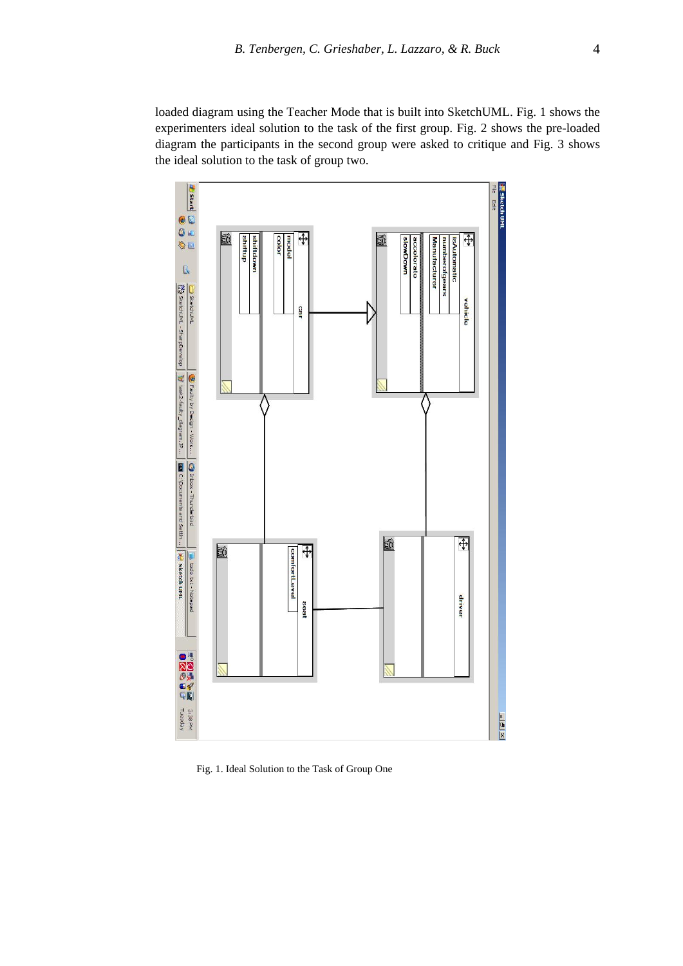loaded diagram using the Teacher Mode that is built into SketchUML. Fig. 1 shows the experimenters ideal solution to the task of the first group. Fig. 2 shows the pre-loaded diagram the participants in the second group were asked to critique and Fig. 3 shows the ideal solution to the task of group two.



Fig. 1. Ideal Solution to the Task of Group One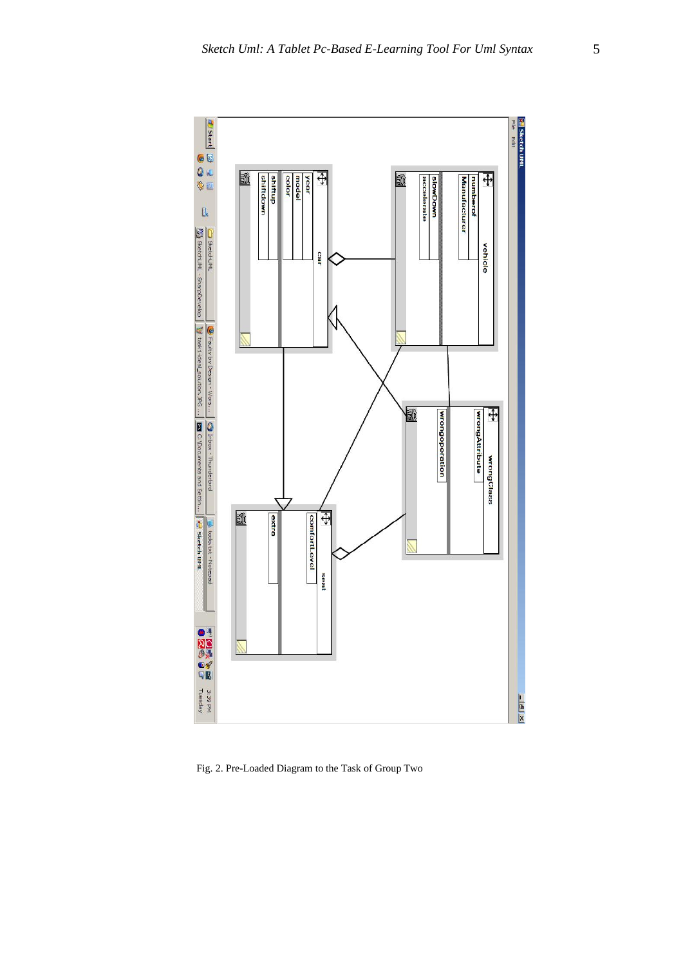

Fig. 2. Pre-Loaded Diagram to the Task of Group Two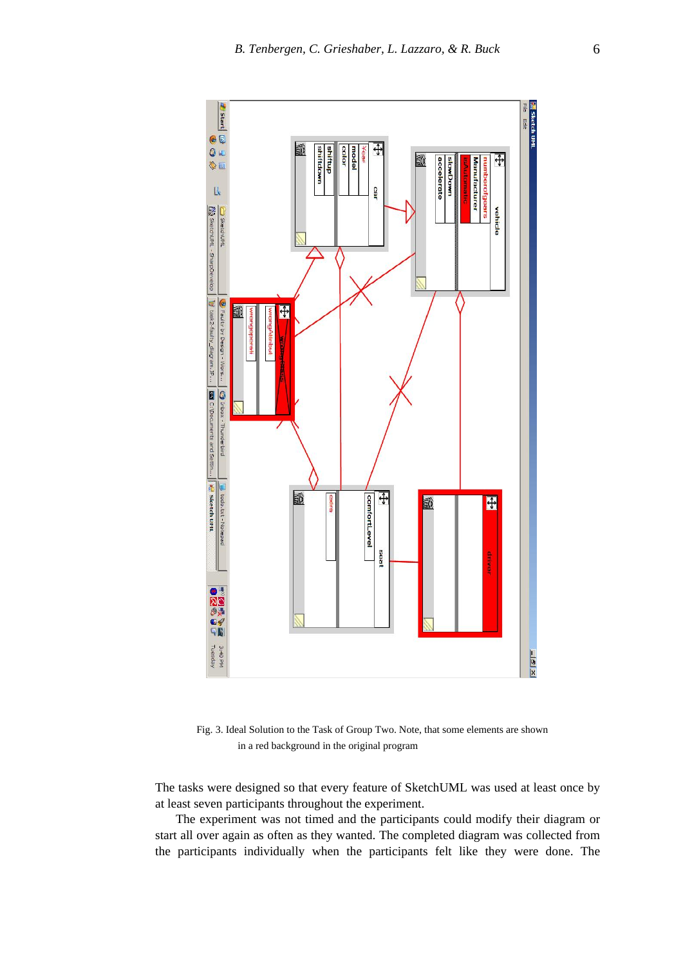

 Fig. 3. Ideal Solution to the Task of Group Two. Note, that some elements are shown in a red background in the original program

The tasks were designed so that every feature of SketchUML was used at least once by at least seven participants throughout the experiment.

 The experiment was not timed and the participants could modify their diagram or start all over again as often as they wanted. The completed diagram was collected from the participants individually when the participants felt like they were done. The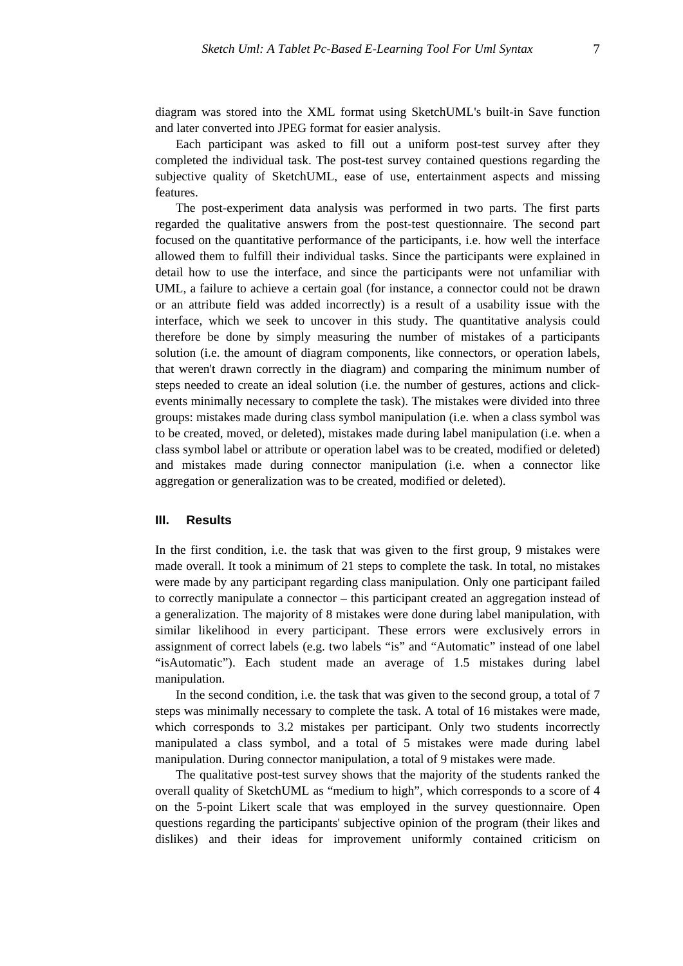diagram was stored into the XML format using SketchUML's built-in Save function and later converted into JPEG format for easier analysis.

 Each participant was asked to fill out a uniform post-test survey after they completed the individual task. The post-test survey contained questions regarding the subjective quality of SketchUML, ease of use, entertainment aspects and missing features.

 The post-experiment data analysis was performed in two parts. The first parts regarded the qualitative answers from the post-test questionnaire. The second part focused on the quantitative performance of the participants, i.e. how well the interface allowed them to fulfill their individual tasks. Since the participants were explained in detail how to use the interface, and since the participants were not unfamiliar with UML, a failure to achieve a certain goal (for instance, a connector could not be drawn or an attribute field was added incorrectly) is a result of a usability issue with the interface, which we seek to uncover in this study. The quantitative analysis could therefore be done by simply measuring the number of mistakes of a participants solution (i.e. the amount of diagram components, like connectors, or operation labels, that weren't drawn correctly in the diagram) and comparing the minimum number of steps needed to create an ideal solution (i.e. the number of gestures, actions and clickevents minimally necessary to complete the task). The mistakes were divided into three groups: mistakes made during class symbol manipulation (i.e. when a class symbol was to be created, moved, or deleted), mistakes made during label manipulation (i.e. when a class symbol label or attribute or operation label was to be created, modified or deleted) and mistakes made during connector manipulation (i.e. when a connector like aggregation or generalization was to be created, modified or deleted).

## **III. Results**

In the first condition, i.e. the task that was given to the first group, 9 mistakes were made overall. It took a minimum of 21 steps to complete the task. In total, no mistakes were made by any participant regarding class manipulation. Only one participant failed to correctly manipulate a connector – this participant created an aggregation instead of a generalization. The majority of 8 mistakes were done during label manipulation, with similar likelihood in every participant. These errors were exclusively errors in assignment of correct labels (e.g. two labels "is" and "Automatic" instead of one label "isAutomatic"). Each student made an average of 1.5 mistakes during label manipulation.

 In the second condition, i.e. the task that was given to the second group, a total of 7 steps was minimally necessary to complete the task. A total of 16 mistakes were made, which corresponds to 3.2 mistakes per participant. Only two students incorrectly manipulated a class symbol, and a total of 5 mistakes were made during label manipulation. During connector manipulation, a total of 9 mistakes were made.

 The qualitative post-test survey shows that the majority of the students ranked the overall quality of SketchUML as "medium to high", which corresponds to a score of 4 on the 5-point Likert scale that was employed in the survey questionnaire. Open questions regarding the participants' subjective opinion of the program (their likes and dislikes) and their ideas for improvement uniformly contained criticism on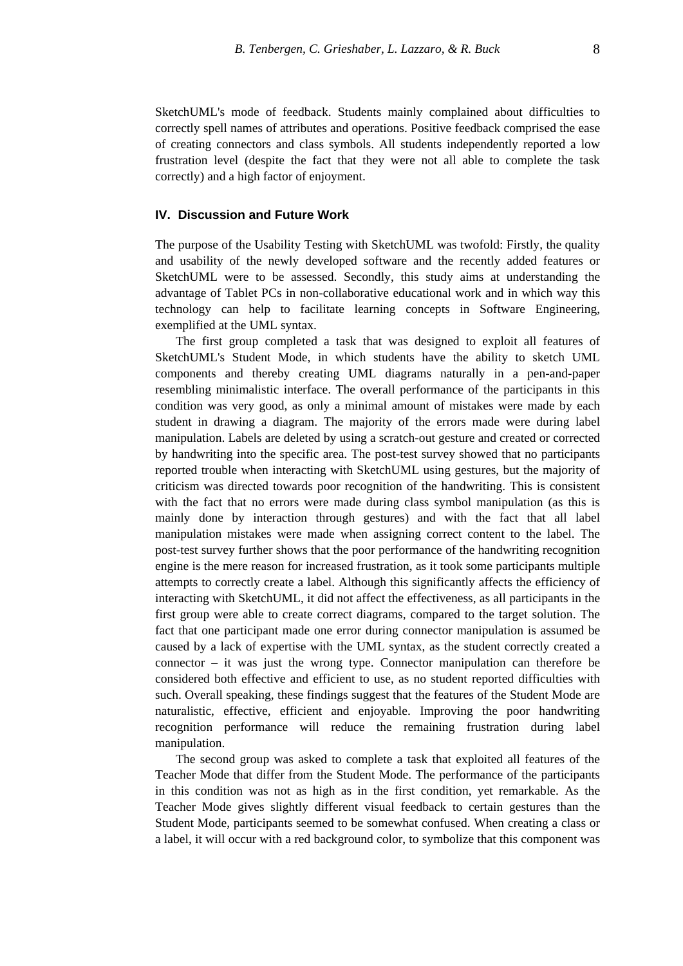SketchUML's mode of feedback. Students mainly complained about difficulties to correctly spell names of attributes and operations. Positive feedback comprised the ease of creating connectors and class symbols. All students independently reported a low frustration level (despite the fact that they were not all able to complete the task correctly) and a high factor of enjoyment.

#### **IV. Discussion and Future Work**

The purpose of the Usability Testing with SketchUML was twofold: Firstly, the quality and usability of the newly developed software and the recently added features or SketchUML were to be assessed. Secondly, this study aims at understanding the advantage of Tablet PCs in non-collaborative educational work and in which way this technology can help to facilitate learning concepts in Software Engineering, exemplified at the UML syntax.

 The first group completed a task that was designed to exploit all features of SketchUML's Student Mode, in which students have the ability to sketch UML components and thereby creating UML diagrams naturally in a pen-and-paper resembling minimalistic interface. The overall performance of the participants in this condition was very good, as only a minimal amount of mistakes were made by each student in drawing a diagram. The majority of the errors made were during label manipulation. Labels are deleted by using a scratch-out gesture and created or corrected by handwriting into the specific area. The post-test survey showed that no participants reported trouble when interacting with SketchUML using gestures, but the majority of criticism was directed towards poor recognition of the handwriting. This is consistent with the fact that no errors were made during class symbol manipulation (as this is mainly done by interaction through gestures) and with the fact that all label manipulation mistakes were made when assigning correct content to the label. The post-test survey further shows that the poor performance of the handwriting recognition engine is the mere reason for increased frustration, as it took some participants multiple attempts to correctly create a label. Although this significantly affects the efficiency of interacting with SketchUML, it did not affect the effectiveness, as all participants in the first group were able to create correct diagrams, compared to the target solution. The fact that one participant made one error during connector manipulation is assumed be caused by a lack of expertise with the UML syntax, as the student correctly created a connector – it was just the wrong type. Connector manipulation can therefore be considered both effective and efficient to use, as no student reported difficulties with such. Overall speaking, these findings suggest that the features of the Student Mode are naturalistic, effective, efficient and enjoyable. Improving the poor handwriting recognition performance will reduce the remaining frustration during label manipulation.

 The second group was asked to complete a task that exploited all features of the Teacher Mode that differ from the Student Mode. The performance of the participants in this condition was not as high as in the first condition, yet remarkable. As the Teacher Mode gives slightly different visual feedback to certain gestures than the Student Mode, participants seemed to be somewhat confused. When creating a class or a label, it will occur with a red background color, to symbolize that this component was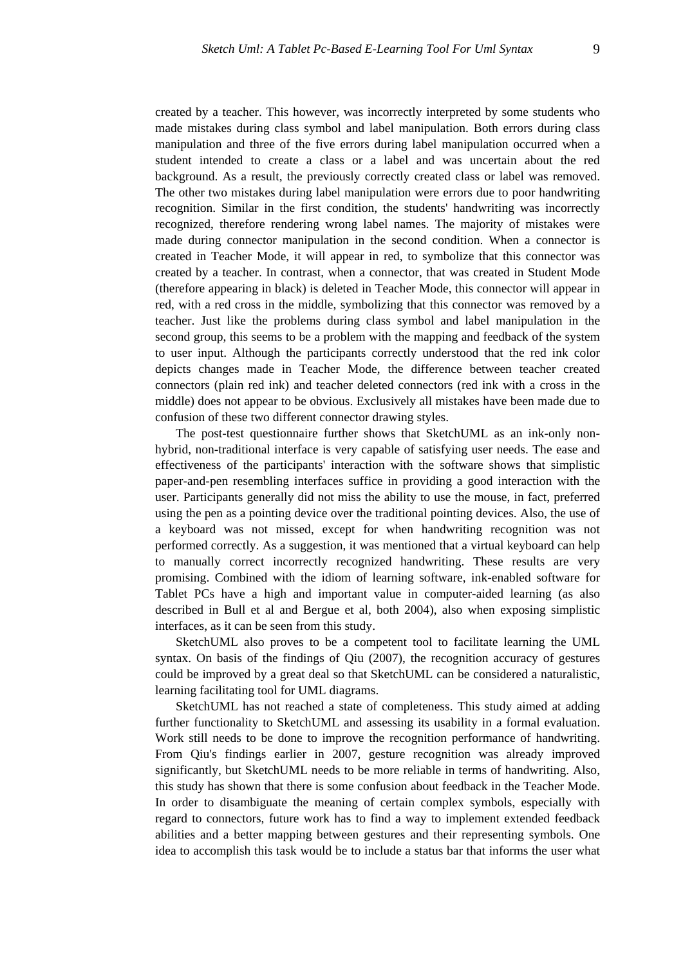created by a teacher. This however, was incorrectly interpreted by some students who made mistakes during class symbol and label manipulation. Both errors during class manipulation and three of the five errors during label manipulation occurred when a student intended to create a class or a label and was uncertain about the red background. As a result, the previously correctly created class or label was removed. The other two mistakes during label manipulation were errors due to poor handwriting recognition. Similar in the first condition, the students' handwriting was incorrectly recognized, therefore rendering wrong label names. The majority of mistakes were made during connector manipulation in the second condition. When a connector is created in Teacher Mode, it will appear in red, to symbolize that this connector was created by a teacher. In contrast, when a connector, that was created in Student Mode (therefore appearing in black) is deleted in Teacher Mode, this connector will appear in red, with a red cross in the middle, symbolizing that this connector was removed by a teacher. Just like the problems during class symbol and label manipulation in the second group, this seems to be a problem with the mapping and feedback of the system to user input. Although the participants correctly understood that the red ink color depicts changes made in Teacher Mode, the difference between teacher created connectors (plain red ink) and teacher deleted connectors (red ink with a cross in the middle) does not appear to be obvious. Exclusively all mistakes have been made due to confusion of these two different connector drawing styles.

 The post-test questionnaire further shows that SketchUML as an ink-only nonhybrid, non-traditional interface is very capable of satisfying user needs. The ease and effectiveness of the participants' interaction with the software shows that simplistic paper-and-pen resembling interfaces suffice in providing a good interaction with the user. Participants generally did not miss the ability to use the mouse, in fact, preferred using the pen as a pointing device over the traditional pointing devices. Also, the use of a keyboard was not missed, except for when handwriting recognition was not performed correctly. As a suggestion, it was mentioned that a virtual keyboard can help to manually correct incorrectly recognized handwriting. These results are very promising. Combined with the idiom of learning software, ink-enabled software for Tablet PCs have a high and important value in computer-aided learning (as also described in Bull et al and Bergue et al, both 2004), also when exposing simplistic interfaces, as it can be seen from this study.

 SketchUML also proves to be a competent tool to facilitate learning the UML syntax. On basis of the findings of Qiu (2007), the recognition accuracy of gestures could be improved by a great deal so that SketchUML can be considered a naturalistic, learning facilitating tool for UML diagrams.

 SketchUML has not reached a state of completeness. This study aimed at adding further functionality to SketchUML and assessing its usability in a formal evaluation. Work still needs to be done to improve the recognition performance of handwriting. From Qiu's findings earlier in 2007, gesture recognition was already improved significantly, but SketchUML needs to be more reliable in terms of handwriting. Also, this study has shown that there is some confusion about feedback in the Teacher Mode. In order to disambiguate the meaning of certain complex symbols, especially with regard to connectors, future work has to find a way to implement extended feedback abilities and a better mapping between gestures and their representing symbols. One idea to accomplish this task would be to include a status bar that informs the user what